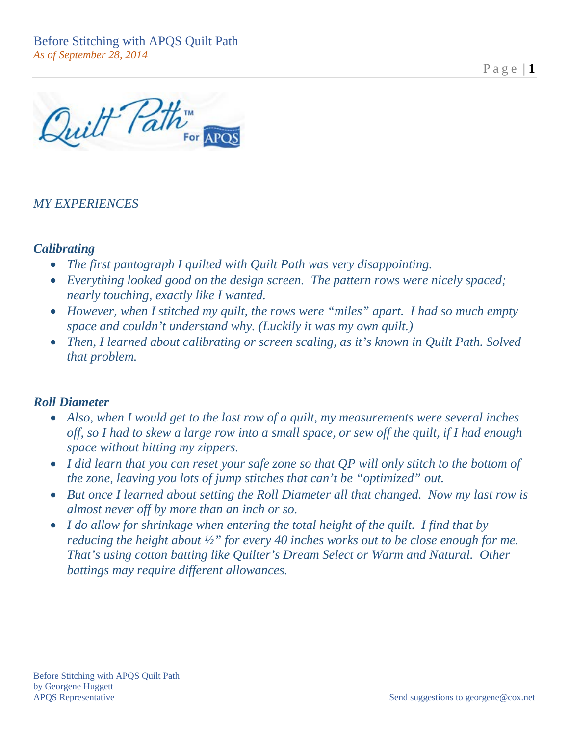Page  $|1$ 

Quilt Path

## *MY EXPERIENCES*

### *Calibrating*

- *The first pantograph I quilted with Quilt Path was very disappointing.*
- *Everything looked good on the design screen. The pattern rows were nicely spaced; nearly touching, exactly like I wanted.*
- *However, when I stitched my quilt, the rows were "miles" apart. I had so much empty space and couldn't understand why. (Luckily it was my own quilt.)*
- *Then, I learned about calibrating or screen scaling, as it's known in Quilt Path. Solved that problem.*

### *Roll Diameter*

- *Also, when I would get to the last row of a quilt, my measurements were several inches off, so I had to skew a large row into a small space, or sew off the quilt, if I had enough space without hitting my zippers.*
- *I did learn that you can reset your safe zone so that QP will only stitch to the bottom of the zone, leaving you lots of jump stitches that can't be "optimized" out.*
- *But once I learned about setting the Roll Diameter all that changed. Now my last row is almost never off by more than an inch or so.*
- *I do allow for shrinkage when entering the total height of the quilt. I find that by reducing the height about <sup>1</sup>/<sub>2</sub>" for every 40 inches works out to be close enough for me. That's using cotton batting like Quilter's Dream Select or Warm and Natural. Other battings may require different allowances.*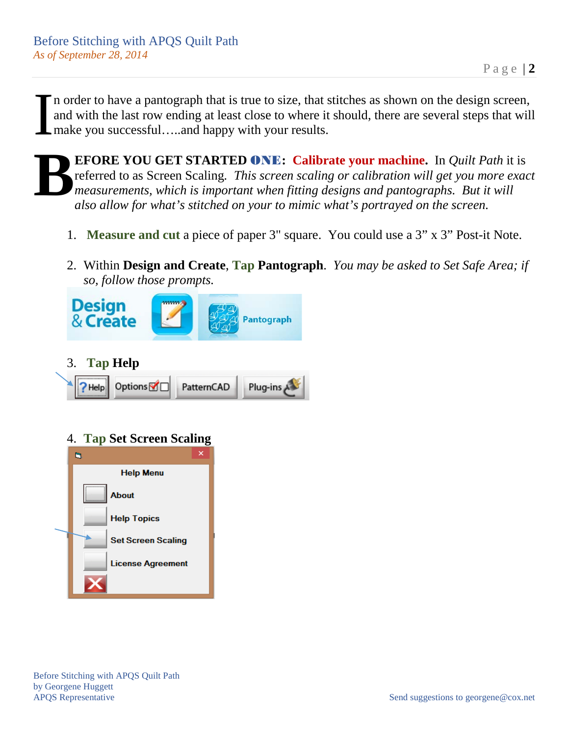n order to have a pantograph that is true to size, that stitches as shown on the design screen, and with the last row ending at least close to where it should, there are several steps that will make you successful…..and happy with your results. I

**EFORE YOU GET STARTED** ONE**: Calibrate your machine.** In *Quilt Path* it is referred to as Screen Scaling*. This screen scaling or calibration will get you more exact measurements, which is important when fitting designs and pantographs. But it will also allow for what's stitched on your to mimic what's portrayed on the screen.* **B**

- 1. **Measure and cut** a piece of paper 3" square. You could use a 3" x 3" Post-it Note.
- 2. Within **Design and Create**, **Tap Pantograph**. *You may be asked to Set Safe Area; if so, follow those prompts.*



3. **Tap Help**



# 4. **Tap Set Screen Scaling**

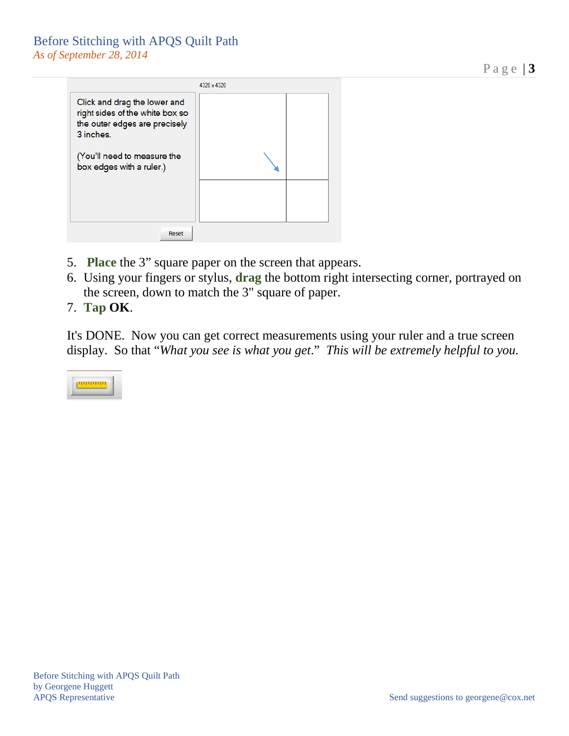### Before Stitching with APQS Quilt Path *As of September 28, 2014*

4320 × 4320 Click and drag the lower and right sides of the white box so the outer edges are precisely 3 inches. (You'll need to measure the box edges with a ruler.) Reset

- 5. **Place** the 3" square paper on the screen that appears.
- 6. Using your fingers or stylus, **drag** the bottom right intersecting corner, portrayed on the screen, down to match the 3" square of paper.
- 7. **Tap OK**.

It's DONE. Now you can get correct measurements using your ruler and a true screen display. So that "*What you see is what you get*." *This will be extremely helpful to you.*



Page | **3**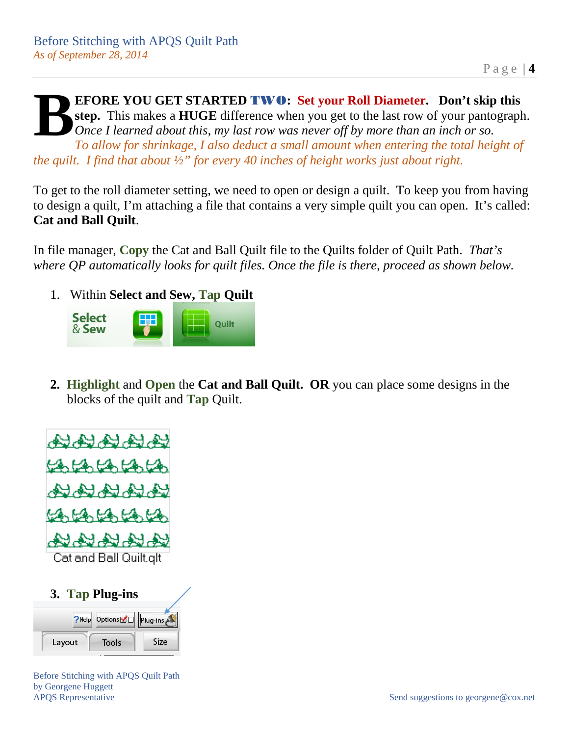**EFORE YOU GET STARTED** TWO**: Set your Roll Diameter. Don't skip this step.** This makes a **HUGE** difference when you get to the last row of your pantograph. *Once I learned about this, my last row was never off by more than an inch or so. To allow for shrinkage, I also deduct a small amount when entering the total height of the quilt. I find that about ½" for every 40 inches of height works just about right.* **B**

To get to the roll diameter setting, we need to open or design a quilt. To keep you from having to design a quilt, I'm attaching a file that contains a very simple quilt you can open. It's called: **Cat and Ball Quilt**.

In file manager, **Copy** the Cat and Ball Quilt file to the Quilts folder of Quilt Path. *That's where QP automatically looks for quilt files. Once the file is there, proceed as shown below.*

1. Within **Select and Sew, Tap Quilt**



**2. Highlight** and **Open** the **Cat and Ball Quilt. OR** you can place some designs in the blocks of the quilt and **Tap** Quilt.





Before Stitching with APQS Quilt Path by Georgene Huggett APQS Representative Send suggestions to georgene@cox.net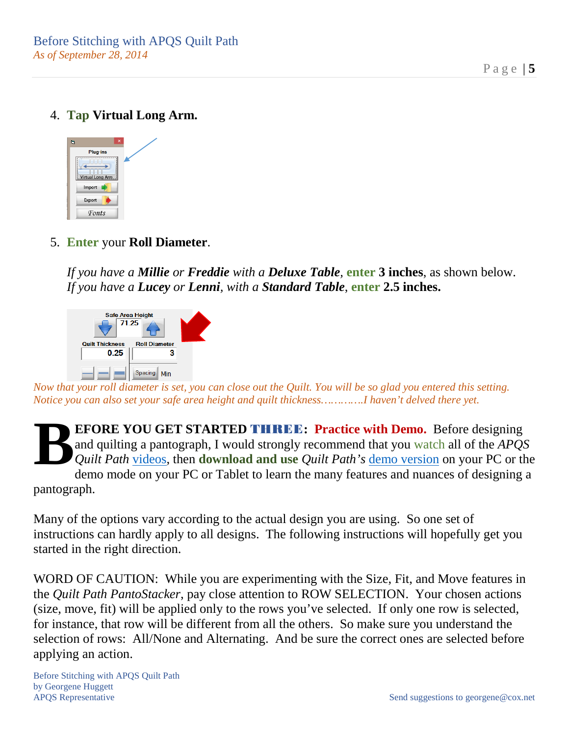Page | **5**

4. **Tap Virtual Long Arm.** 



5. **Enter** your **Roll Diameter**.

*If you have a Millie or Freddie with a Deluxe Table,* **enter 3 inches**, as shown below. *If you have a Lucey or Lenni, with a Standard Table*, **enter 2.5 inches.**



*Now that your roll diameter is set, you can close out the Quilt. You will be so glad you entered this setting. Notice you can also set your safe area height and quilt thickness………….I haven't delved there yet.*

**EFORE YOU GET STARTED** THREE**: Practice with Demo.** Before designing and quilting a pantograph, I would strongly recommend that you watch all of the *APQS Quilt Path* [videos,](http://www.apqs.com/machines/quilt-path/) then **download and use** *Quilt Path's* [demo version](http://www.cabinlogic.com/site/apqs-demo) on your PC or the demo mode on your PC or Tablet to learn the many features and nuances of designing a pantograph. **B**

Many of the options vary according to the actual design you are using. So one set of instructions can hardly apply to all designs. The following instructions will hopefully get you started in the right direction.

WORD OF CAUTION: While you are experimenting with the Size, Fit, and Move features in the *Quilt Path PantoStacker*, pay close attention to ROW SELECTION. Your chosen actions (size, move, fit) will be applied only to the rows you've selected. If only one row is selected, for instance, that row will be different from all the others. So make sure you understand the selection of rows: All/None and Alternating. And be sure the correct ones are selected before applying an action.